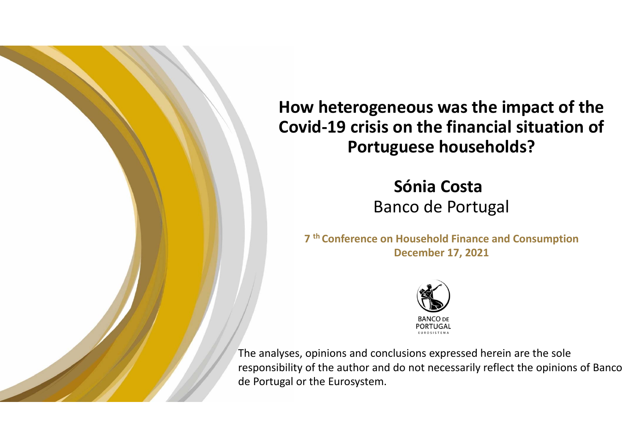

**How heterogeneous was the impact of the Covid‐19 crisis on the financial situation of Portuguese households?**

> **Sónia Costa**  Banco de Portugal

**7 th Conference on Household Finance and Consumption December 17, 2021**



The analyses, opinions and conclusions expressed herein are the sole responsibility of the author and do not necessarily reflect the opinions of Banco de Portugal or the Eurosystem.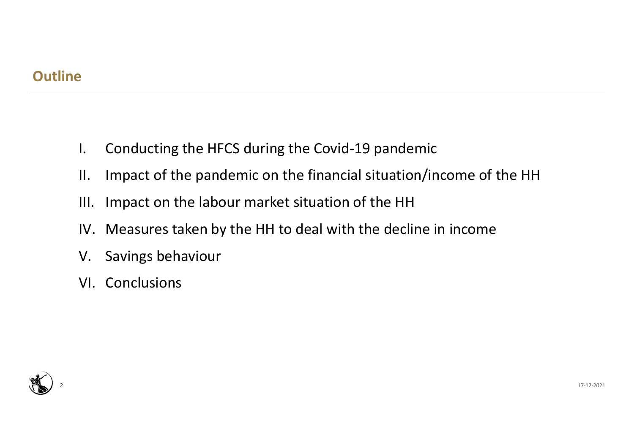## **Outline**

- I. Conducting the HFCS during the Covid‐19 pandemic
- II. Impact of the pandemic on the financial situation/income of the HH
- III. Impact on the labour market situation of the HH
- IV. Measures taken by the HH to deal with the decline in income
- V. Savings behaviour
- VI. Conclusions

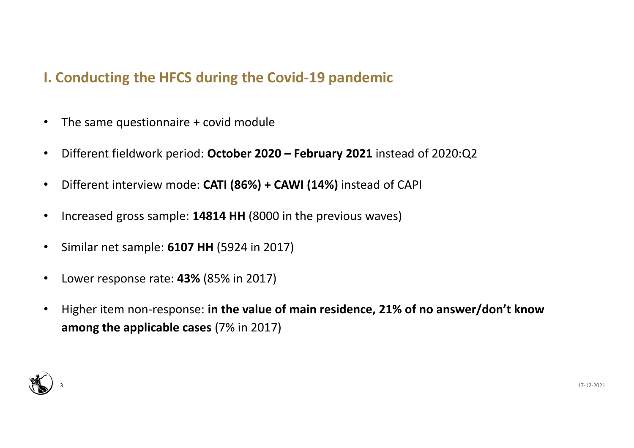# **I. Conducting the HFCS during the Covid‐19 pandemic**

- •The same questionnaire + covid module
- •Different fieldwork period: **October 2020 – February 2021** instead of 2020:Q2
- •Different interview mode: **CATI (86%) + CAWI (14%)** instead of CAPI
- •Increased gross sample: **14814 HH** (8000 in the previous waves)
- •Similar net sample: **6107 HH** (5924 in 2017)
- •Lower response rate: **43%** (85% in 2017)
- • Higher item non‐response: **in the value of main residence, 21% of no answer/don't know among the applicable cases** (7% in 2017)

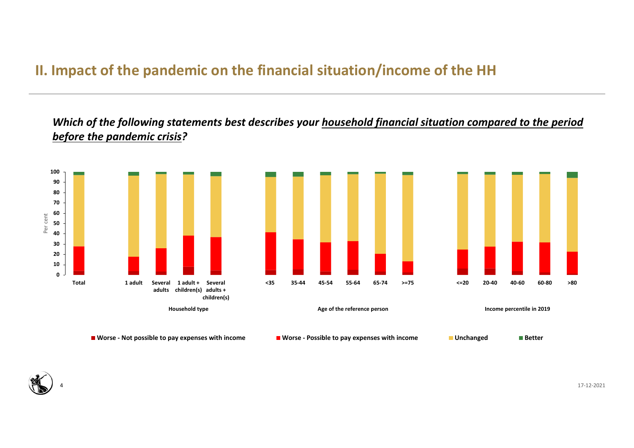# **II. Impact of the pandemic on the financial situation/income of the HH**

*Which of the following statements best describes your household financial situation compared to the period before the pandemic crisis?*





17‐12‐2021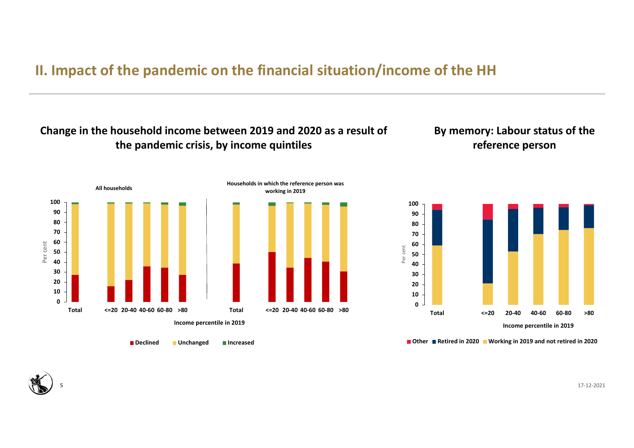# **II. Impact of the pandemic on the financial situation/income of the HH**

### **Change in the household income between 2019 and 2020 as a result of the pandemic crisis, by income quintiles**

### **By memory: Labour status of the reference person**



**Declined Unchanged Increased**



**Other Retired in 2020 Working in 2019 and not retired in 2020**



17‐12‐2021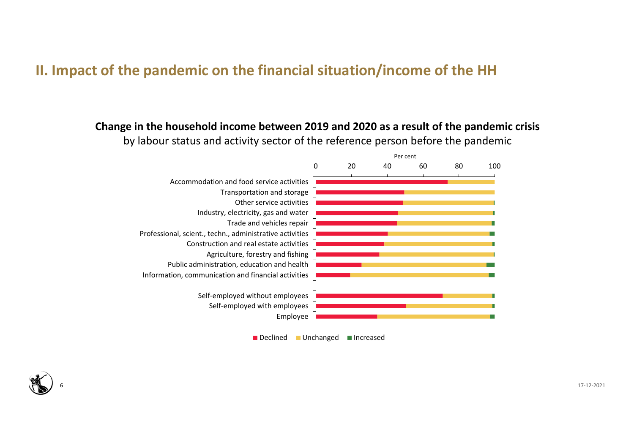# **II. Impact of the pandemic on the financial situation/income of the HH**

#### **Change in the household income between 2019 and 2020 as a result of the pandemic crisis** by labour status and activity sector of the reference person before the pandemic



Declined Unchanged Increased

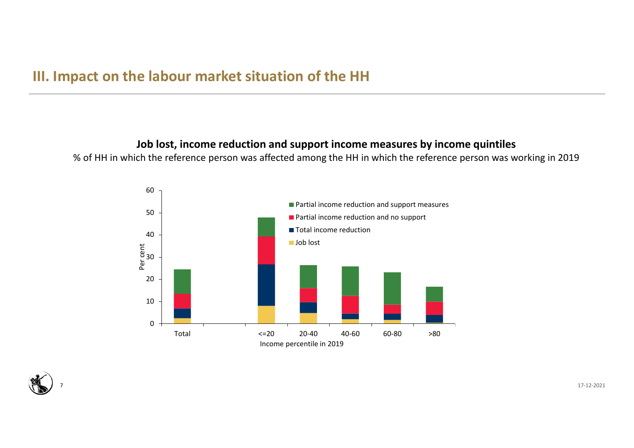### **III. Impact on the labour market situation of the HH**

#### **Job lost, income reduction and support income measures by income quintiles**

% of HH in which the reference person was affected among the HH in which the reference person was working in 2019



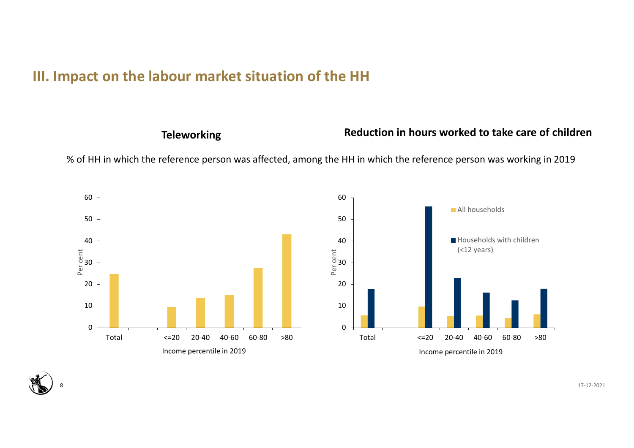### **III. Impact on the labour market situation of the HH**

### **Teleworking Reduction in hours worked to take care of children**

% of HH in which the reference person was affected, among the HH in which the reference person was working in 2019





17‐12‐2021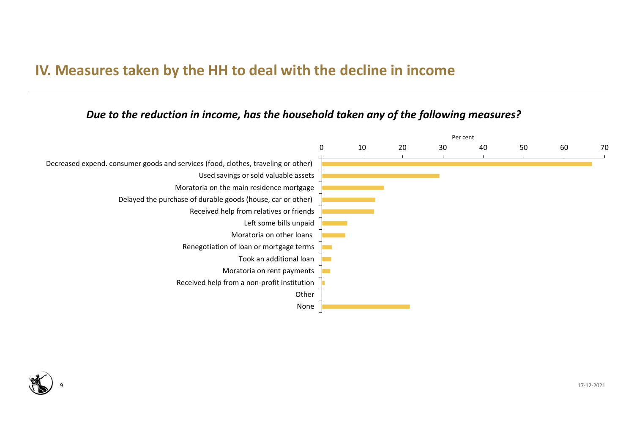## **IV. Measures taken by the HH to deal with the decline in income**

#### *Due to the reduction in income, has the household taken any of the following measures?*



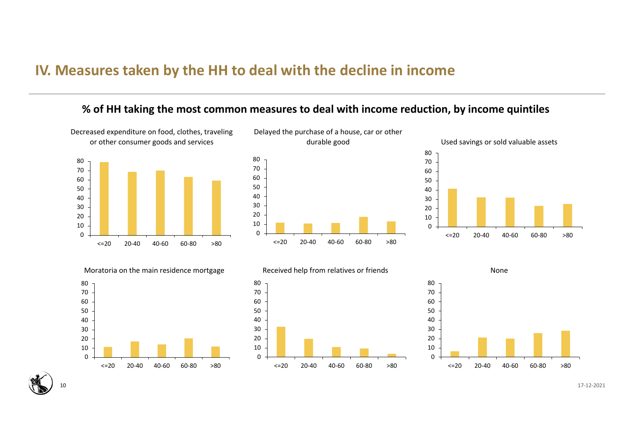### **IV. Measures taken by the HH to deal with the decline in income**

#### **% of HH taking the most common measures to deal with income reduction, by income quintiles**

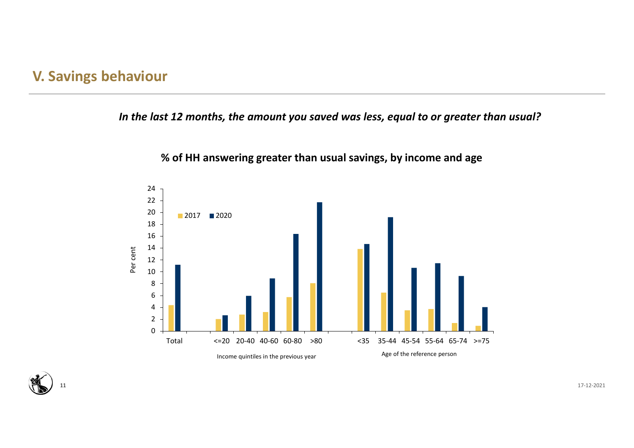## **V. Savings behaviour**

#### *In the last 12 months, the amount you saved was less, equal to or greater than usual?*



**% of HH answering greater than usual savings, by income and age**

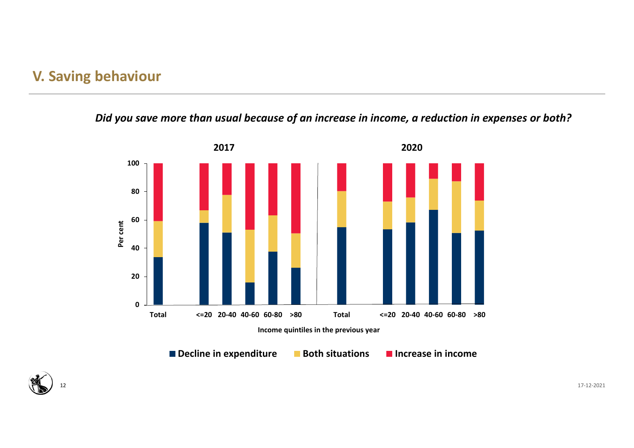## **V. Saving behaviour**

### *Did you save more than usual because of an increase in income, a reduction in expenses or both?*



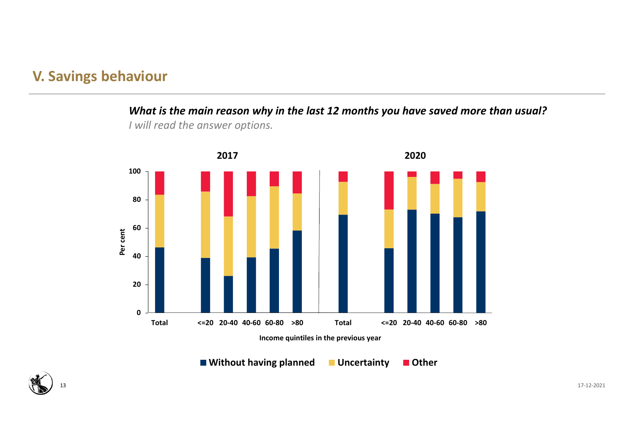## **V. Savings behaviour**

*What is the main reason why in the last 12 months you have saved more than usual?*





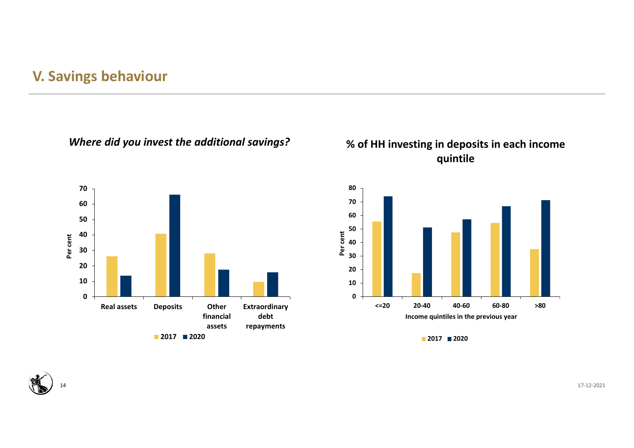## **V. Savings behaviour**

*Where did you invest the additional savings?*



### **% of HH investing in deposits in each income quintile**



**2017 2020**



14